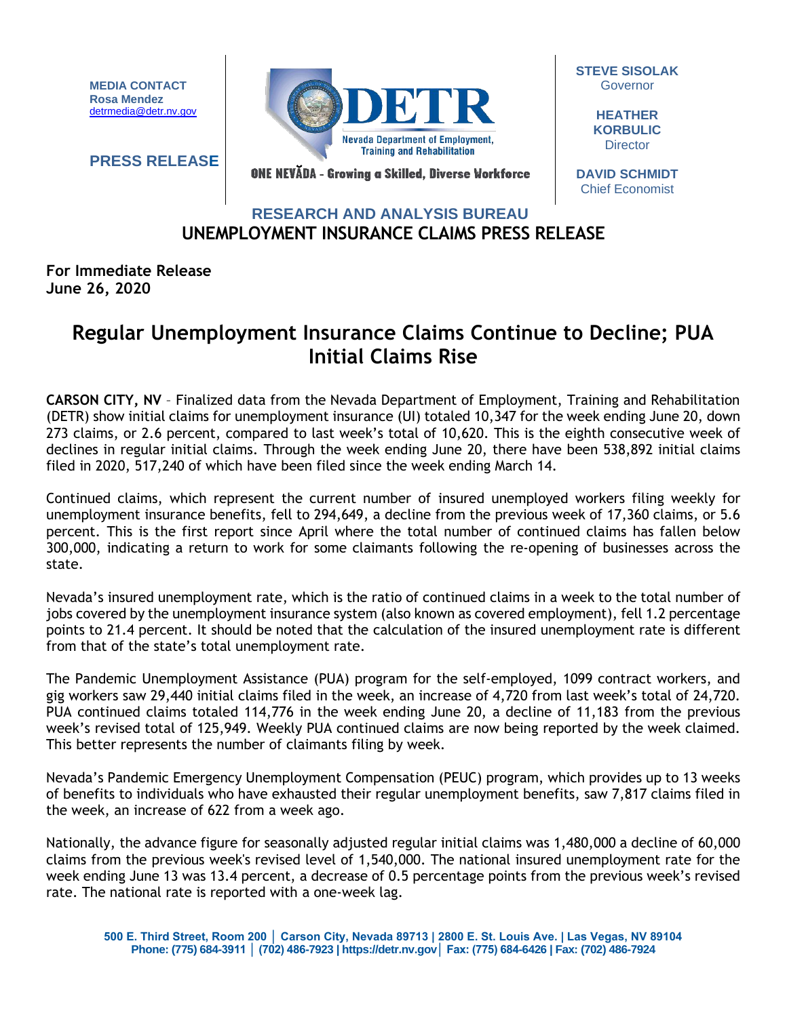**MEDIA CONTACT Rosa Mendez** [detrmedia@detr.nv.gov](mailto:detrmedia@detr.nv.gov)

**PRESS RELEASE**



**STEVE SISOLAK Governor** 

> **HEATHER KORBULIC Director**

ONE NEVĂDA - Growing a Skilled, Diverse Workforce

**DAVID SCHMIDT** Chief Economist

## **UNEMPLOYMENT INSURANCE CLAIMS PRESS RELEASE RESEARCH AND ANALYSIS BUREAU**

**For Immediate Release June 26, 2020**

## **Regular Unemployment Insurance Claims Continue to Decline; PUA Initial Claims Rise**

**CARSON CITY, NV** – Finalized data from the Nevada Department of Employment, Training and Rehabilitation (DETR) show initial claims for unemployment insurance (UI) totaled 10,347 for the week ending June 20, down 273 claims, or 2.6 percent, compared to last week's total of 10,620. This is the eighth consecutive week of declines in regular initial claims. Through the week ending June 20, there have been 538,892 initial claims filed in 2020, 517,240 of which have been filed since the week ending March 14.

Continued claims, which represent the current number of insured unemployed workers filing weekly for unemployment insurance benefits, fell to 294,649, a decline from the previous week of 17,360 claims, or 5.6 percent. This is the first report since April where the total number of continued claims has fallen below 300,000, indicating a return to work for some claimants following the re-opening of businesses across the state.

Nevada's insured unemployment rate, which is the ratio of continued claims in a week to the total number of jobs covered by the unemployment insurance system (also known as covered employment), fell 1.2 percentage points to 21.4 percent. It should be noted that the calculation of the insured unemployment rate is different from that of the state's total unemployment rate.

The Pandemic Unemployment Assistance (PUA) program for the self-employed, 1099 contract workers, and gig workers saw 29,440 initial claims filed in the week, an increase of 4,720 from last week's total of 24,720. PUA continued claims totaled 114,776 in the week ending June 20, a decline of 11,183 from the previous week's revised total of 125,949. Weekly PUA continued claims are now being reported by the week claimed. This better represents the number of claimants filing by week.

Nevada's Pandemic Emergency Unemployment Compensation (PEUC) program, which provides up to 13 weeks of benefits to individuals who have exhausted their regular unemployment benefits, saw 7,817 claims filed in the week, an increase of 622 from a week ago.

Nationally, the advance figure for seasonally adjusted regular initial claims was 1,480,000 a decline of 60,000 claims from the previous week's revised level of 1,540,000. The national insured unemployment rate for the week ending June 13 was 13.4 percent, a decrease of 0.5 percentage points from the previous week's revised rate. The national rate is reported with a one-week lag.